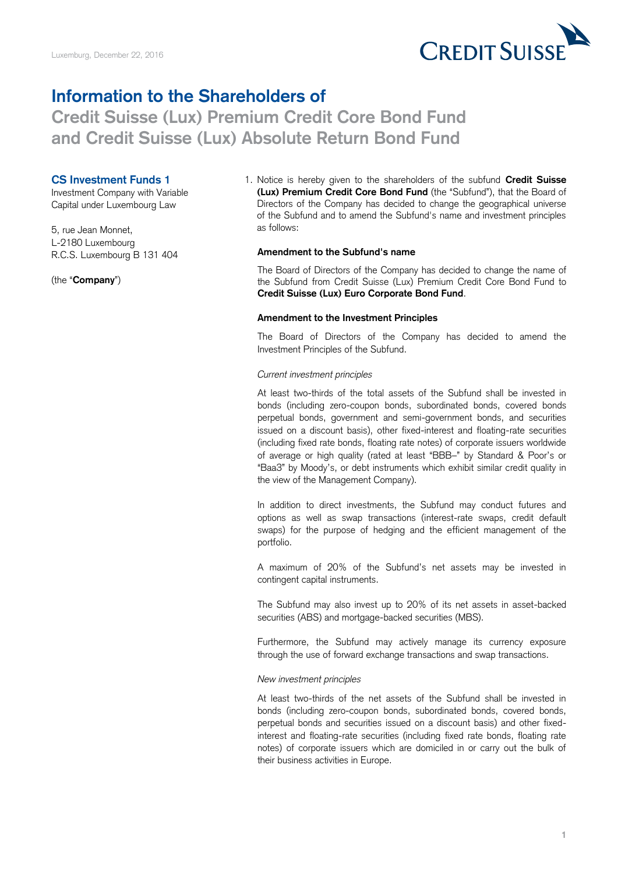

## **Information to the Shareholders of**

# **Credit Suisse (Lux) Premium Credit Core Bond Fund and Credit Suisse (Lux) Absolute Return Bond Fund**

### **CS Investment Funds 1**

Investment Company with Variable Capital under Luxembourg Law

5, rue Jean Monnet, L-2180 Luxembourg R.C.S. Luxembourg B 131 404

(the "**Company**")

1. Notice is hereby given to the shareholders of the subfund **Credit Suisse (Lux) Premium Credit Core Bond Fund** (the "Subfund"), that the Board of Directors of the Company has decided to change the geographical universe of the Subfund and to amend the Subfund's name and investment principles as follows:

#### **Amendment to the Subfund's name**

The Board of Directors of the Company has decided to change the name of the Subfund from Credit Suisse (Lux) Premium Credit Core Bond Fund to **Credit Suisse (Lux) Euro Corporate Bond Fund**.

#### **Amendment to the Investment Principles**

The Board of Directors of the Company has decided to amend the Investment Principles of the Subfund.

#### *Current investment principles*

At least two-thirds of the total assets of the Subfund shall be invested in bonds (including zero-coupon bonds, subordinated bonds, covered bonds perpetual bonds, government and semi-government bonds, and securities issued on a discount basis), other fixed-interest and floating-rate securities (including fixed rate bonds, floating rate notes) of corporate issuers worldwide of average or high quality (rated at least "BBB–" by Standard & Poor's or "Baa3" by Moody's, or debt instruments which exhibit similar credit quality in the view of the Management Company).

In addition to direct investments, the Subfund may conduct futures and options as well as swap transactions (interest-rate swaps, credit default swaps) for the purpose of hedging and the efficient management of the portfolio.

A maximum of 20% of the Subfund's net assets may be invested in contingent capital instruments.

The Subfund may also invest up to 20% of its net assets in asset-backed securities (ABS) and mortgage-backed securities (MBS).

Furthermore, the Subfund may actively manage its currency exposure through the use of forward exchange transactions and swap transactions.

#### *New investment principles*

At least two-thirds of the net assets of the Subfund shall be invested in bonds (including zero-coupon bonds, subordinated bonds, covered bonds, perpetual bonds and securities issued on a discount basis) and other fixedinterest and floating-rate securities (including fixed rate bonds, floating rate notes) of corporate issuers which are domiciled in or carry out the bulk of their business activities in Europe.